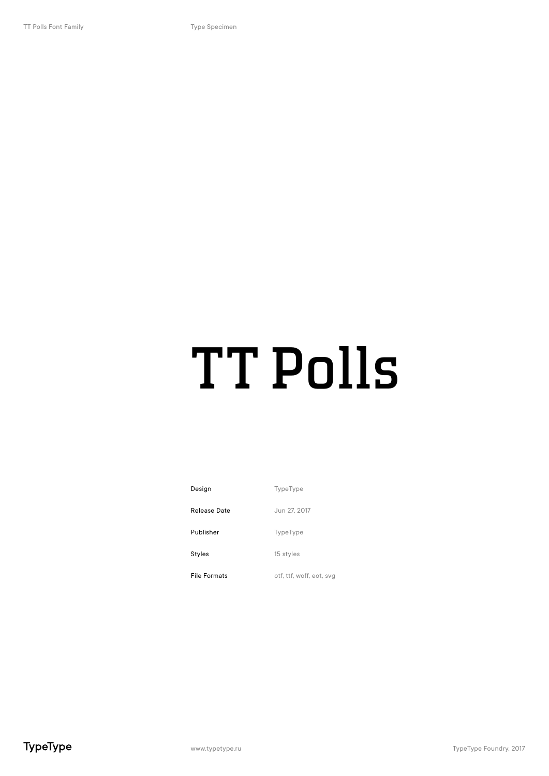### TT Polls

| Design              | <b>TypeType</b>          |
|---------------------|--------------------------|
| Release Date        | Jun 27, 2017             |
| Publisher           | <b>TypeType</b>          |
| Styles              | 15 styles                |
| <b>File Formats</b> | otf, ttf, woff, eot, svg |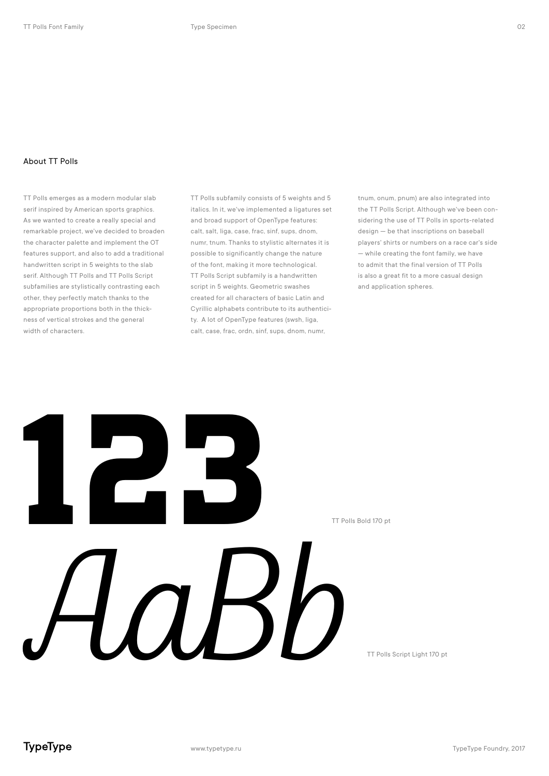### About TT Polls

TT Polls emerges as a modern modular slab serif inspired by American sports graphics. As we wanted to create a really special and remarkable project, we've decided to broaden the character palette and implement the OT features support, and also to add a traditional handwritten script in 5 weights to the slab serif. Although TT Polls and TT Polls Script subfamilies are stylistically contrasting each other, they perfectly match thanks to the appropriate proportions both in the thickness of vertical strokes and the general width of characters.

TT Polls subfamily consists of 5 weights and 5 italics. In it, we've implemented a ligatures set and broad support of OpenType features: calt, salt, liga, case, frac, sinf, sups, dnom, numr, tnum. Thanks to stylistic alternates it is possible to significantly change the nature of the font, making it more technological. TT Polls Script subfamily is a handwritten script in 5 weights. Geometric swashes created for all characters of basic Latin and Cyrillic alphabets contribute to its authenticity. A lot of OpenType features (swsh, liga, calt, case, frac, ordn, sinf, sups, dnom, numr,

tnum, onum, pnum) are also integrated into the TT Polls Script. Although we've been considering the use of TT Polls in sports-related design — be that inscriptions on baseball players' shirts or numbers on a race car's side — while creating the font family, we have to admit that the final version of TT Polls is also a great fit to a more casual design and application spheres.



TT Polls Script Light 170 pt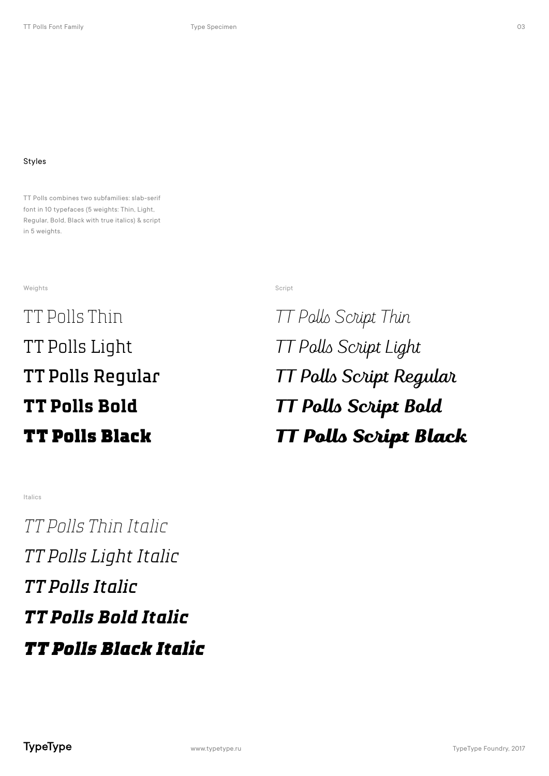### Styles

TT Polls combines two subfamilies: slab-serif font in 10 typefaces (5 weights: Thin, Light, Regular, Bold, Black with true italics) & script in 5 weights.

### weights and the state of the state of the state of the state of the state of the state of the state of the state of the state of the state of the state of the state of the state of the state of the state of the state of th

TT Polls Thin TT Polls Light TT Polls Regular **TT Polls Bold** TT Polls Black

TT Polls Script Thin TT Polls Script Light TT Polls Script Regular **TT Polls Script Bold** TT Polls Script Black

### Italics

*TT Polls Thin Italic TT Polls Light Italic TT Polls Italic TT Polls Bold Italic TT Polls Black Italic*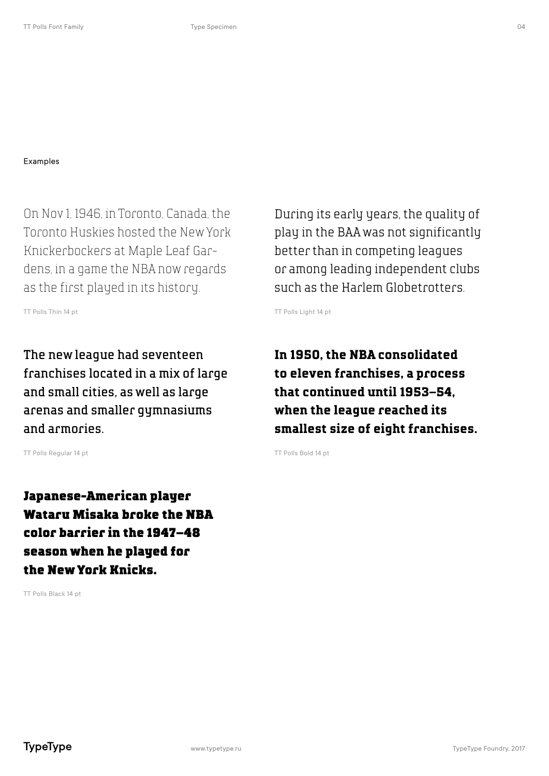On Nov 1, 1946, in Toronto, Canada, the Toronto Huskies hosted the New York Knickerbockers at Maple Leaf Gardens, in a game the NBA now regards as the first played in its history.

TT Polls Thin 14 pt

The new league had seventeen franchises located in a mix of large and small cities, as well as large arenas and smaller gymnasiums and armories.

TT Polls Regular 14 pt

Japanese-American player Wataru Misaka broke the NBA color barrier in the 1947–48 season when he played for the New York Knicks.

TT Polls Black 14 pt

During its early years, the quality of play in the BAA was not significantly better than in competing leagues or among leading independent clubs such as the Harlem Globetrotters.

TT Polls Light 14 pt

**In 1950, the NBA consolidated to eleven franchises, a process that continued until 1953–54, when the league reached its smallest size of eight franchises.**

TT Polls Bold 14 pt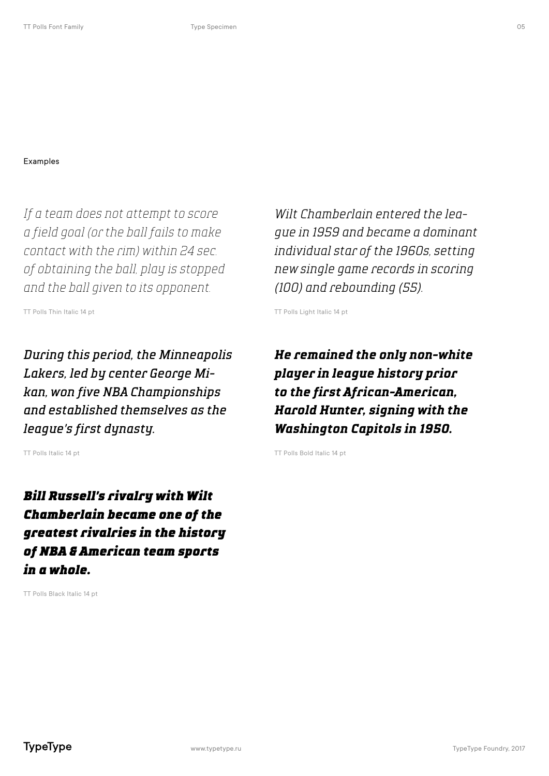*If a team does not attempt to score a field goal (or the ball fails to make contact with the rim) within 24 sec. of obtaining the ball, play is stopped and the ball given to its opponent.*

TT Polls Thin Italic 14 pt

*During this period, the Minneapolis Lakers, led by center George Mikan, won five NBA Championships and established themselves as the league's first dynasty.*

TT Polls Italic 14 pt

*Bill Russell's rivalry with Wilt Chamberlain became one of the greatest rivalries in the history of NBA & American team sports in a whole.*

TT Polls Black Italic 14 pt

*Wilt Chamberlain entered the league in 1959 and became a dominant individual star of the 1960s, setting new single game records in scoring (100) and rebounding (55).*

TT Polls Light Italic 14 pt

*He remained the only non-white player in league history prior to the first African-American, Harold Hunter, signing with the Washington Capitols in 1950.*

TT Polls Bold Italic 14 pt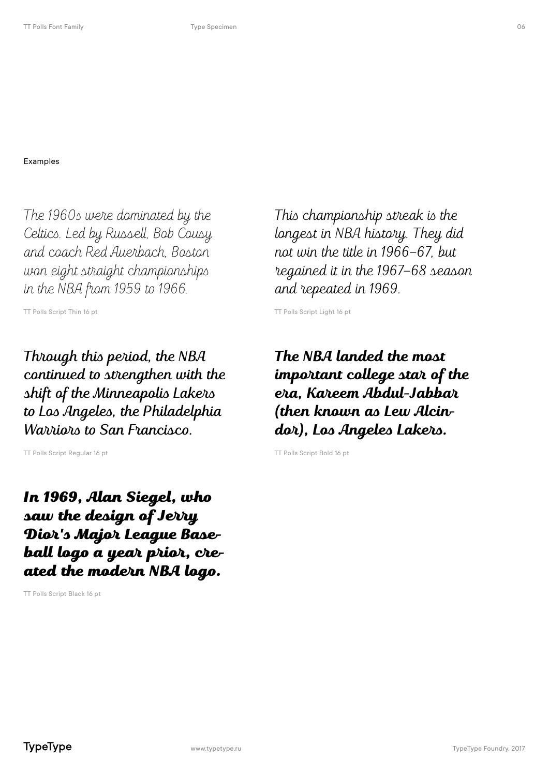The 1960s were dominated by the Celtics. Led by Russell, Bob Cousy and coach Red Auerbach, Boston won eight straight championships in the NBA from 1959 to 1966.

TT Polls Script Thin 16 pt

Through this period, the NBA continued to strengthen with the shift of the Minneapolis Lakers to Los Angeles, the Philadelphia Warriors to San Francisco.

TT Polls Script Regular 16 pt

In 1969, Alan Siegel, who saw the design of Jerry Dior's Major League Baseball logo a year prior, created the modern NBA logo.

TT Polls Script Black 16 pt

This championship streak is the longest in NBA history. They did not win the title in 1966–67, but regained it in the 1967–68 season and repeated in 1969.

TT Polls Script Light 16 pt

**The NBA landed the most important college star of the era, Kareem Abdul-Jabbar (then known as Lew Alcindor), Los Angeles Lakers.**

TT Polls Script Bold 16 pt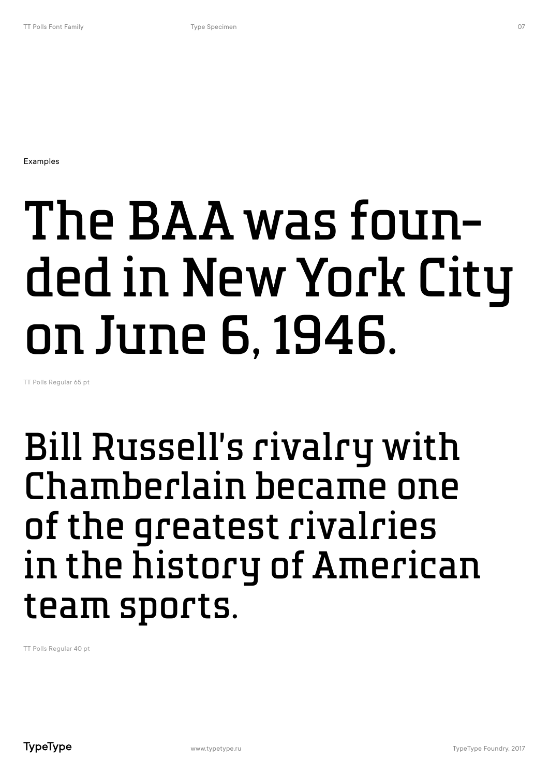### The BAA was founded in New York City on June 6, 1946.

TT Polls Regular 65 pt

### Bill Russell's rivalry with Chamberlain became one of the greatest rivalries in the history of American team sports.

TT Polls Regular 40 pt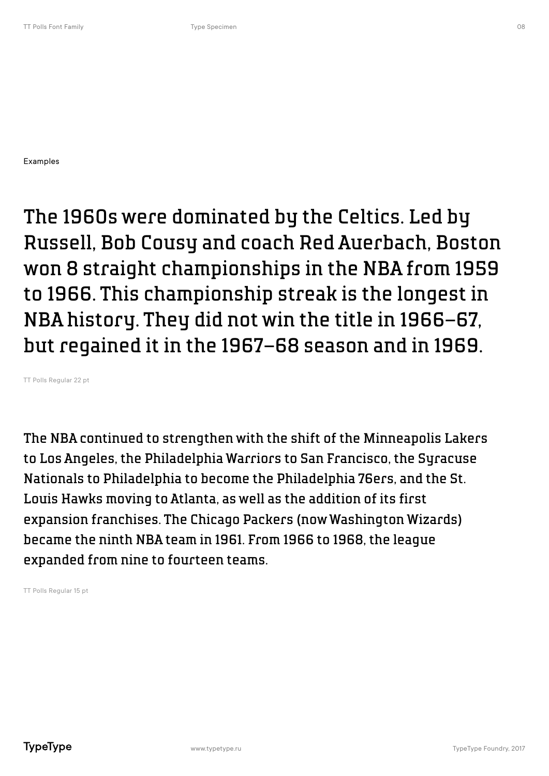The 1960s were dominated by the Celtics. Led by Russell, Bob Cousy and coach Red Auerbach, Boston won 8 straight championships in the NBA from 1959 to 1966. This championship streak is the longest in NBA history. They did not win the title in 1966–67, but regained it in the 1967–68 season and in 1969.

TT Polls Regular 22 pt

The NBA continued to strengthen with the shift of the Minneapolis Lakers to Los Angeles, the Philadelphia Warriors to San Francisco, the Syracuse Nationals to Philadelphia to become the Philadelphia 76ers, and the St. Louis Hawks moving to Atlanta, as well as the addition of its first expansion franchises. The Chicago Packers (now Washington Wizards) became the ninth NBA team in 1961. From 1966 to 1968, the league expanded from nine to fourteen teams.

TT Polls Regular 15 pt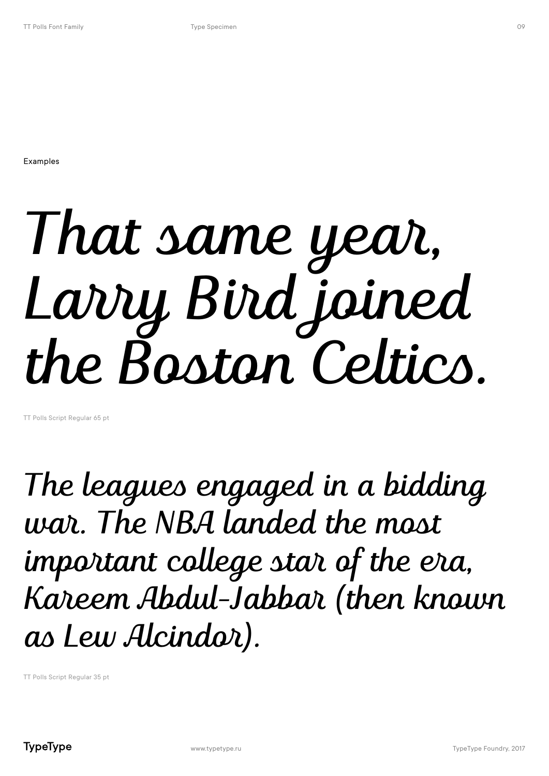## That same year, Larry Bird joined the Boston Celtics.

TT Polls Script Regular 65 pt

The leagues engaged in a bidding war. The NBA landed the most important college star of the era, Kareem Abdul-Jabbar (then known as Lew Alcindor).

TT Polls Script Regular 35 pt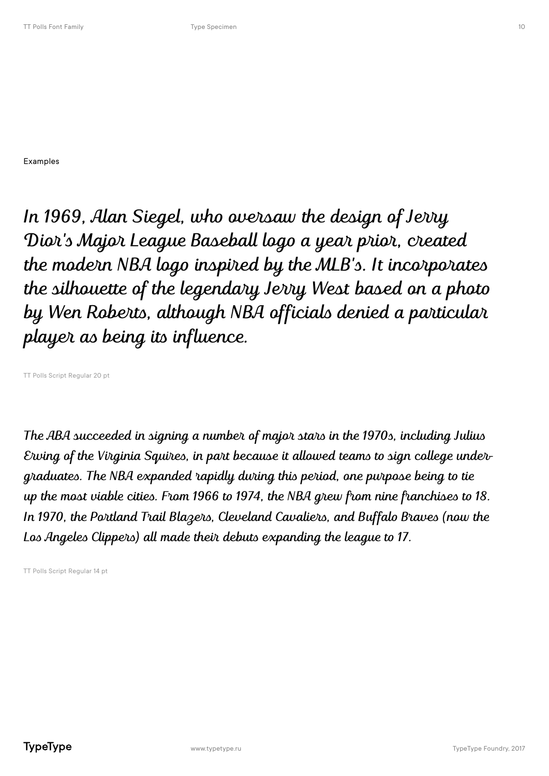In 1969, Alan Siegel, who oversaw the design of Jerry Dior's Major League Baseball logo a year prior, created the modern NBA logo inspired by the MLB's. It incorporates the silhouette of the legendary Jerry West based on a photo by Wen Roberts, although NBA officials denied a particular player as being its influence.

TT Polls Script Regular 20 pt

The ABA succeeded in signing a number of major stars in the 1970s, including Julius Erving of the Virginia Squires, in part because it allowed teams to sign college undergraduates. The NBA expanded rapidly during this period, one purpose being to tie up the most viable cities. From 1966 to 1974, the NBA grew from nine franchises to 18. In 1970, the Portland Trail Blazers, Cleveland Cavaliers, and Buffalo Braves (now the Los Angeles Clippers) all made their debuts expanding the league to 17.

TT Polls Script Regular 14 pt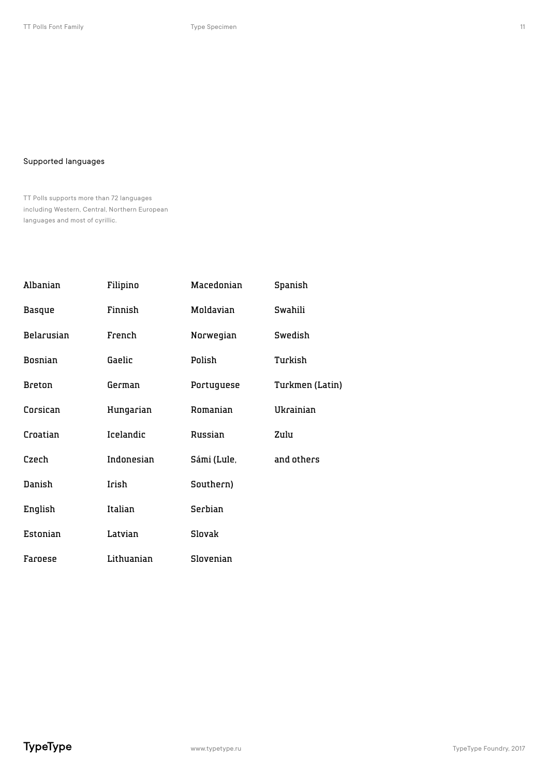### Supported languages

TT Polls supports more than 72 languages including Western, Central, Northern European languages and most of cyrillic.

| Albanian      | Filipino   | Macedonian  | Spanish         |
|---------------|------------|-------------|-----------------|
| <b>Basque</b> | Finnish    | Moldavian   | Swahili         |
| Belarusian    | French     | Norwegian   | Swedish         |
| Bosnian       | Gaelic     | Polish      | Turkish         |
| <b>Breton</b> | German     | Portuguese  | Turkmen (Latin) |
| Corsican      | Hungarian  | Romanian    | Ukrainian       |
| Croatian      | Icelandic  | Russian     | Zulu            |
| Czech         | Indonesian | Sámi (Lule, | and others      |
| Danish        | Irish      | Southern)   |                 |
| English       | Italian    | Serbian     |                 |
| Estonian      | Latvian    | Slovak      |                 |
| Faroese       | Lithuanian | Slovenian   |                 |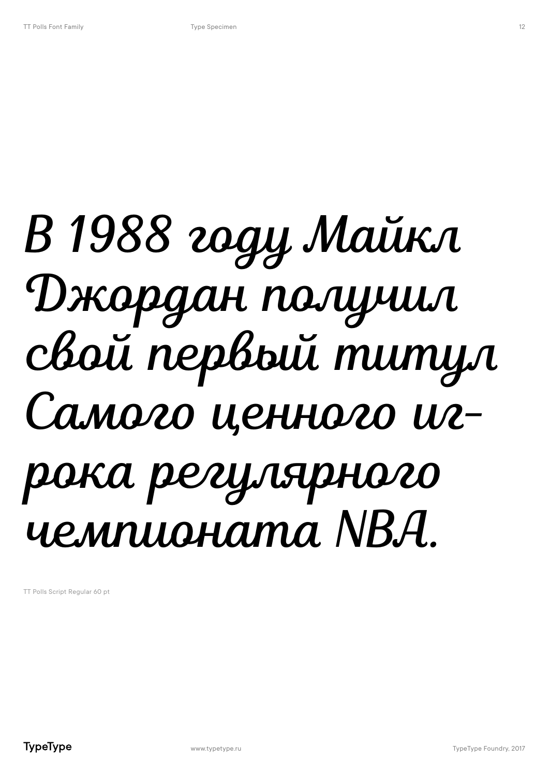### В 1988 году Майкл Джордан получил свой первый титул Самого ценного игрока регулярного чемпионата NBA.

TT Polls Script Regular 60 pt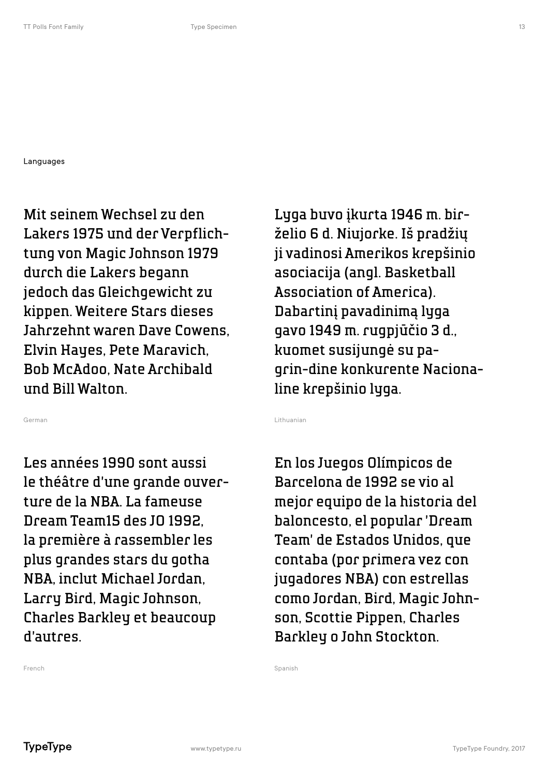Languages

Mit seinem Wechsel zu den Lakers 1975 und der Verpflichtung von Magic Johnson 1979 durch die Lakers begann jedoch das Gleichgewicht zu kippen. Weitere Stars dieses Jahrzehnt waren Dave Cowens, Elvin Hayes, Pete Maravich, Bob McAdoo, Nate Archibald und Bill Walton.

German

Les années 1990 sont aussi le théâtre d'une grande ouverture de la NBA. La fameuse Dream Team15 des JO 1992, la première à rassembler les plus grandes stars du gotha NBA, inclut Michael Jordan, Larry Bird, Magic Johnson, Charles Barkley et beaucoup d'autres.

Lyga buvo įkurta 1946 m. birželio 6 d. Niujorke. Iš pradžių ji vadinosi Amerikos krepšinio asociacija (angl. Basketball Association of America). Dabartinį pavadinimą lyga gavo 1949 m. rugpjūčio 3 d., kuomet susijungė su pagrin-dine konkurente Nacionaline krepšinio lyga.

Lithuanian

En los Juegos Olímpicos de Barcelona de 1992 se vio al mejor equipo de la historia del baloncesto, el popular 'Dream Team' de Estados Unidos, que contaba (por primera vez con jugadores NBA) con estrellas como Jordan, Bird, Magic Johnson, Scottie Pippen, Charles Barkley o John Stockton.

Spanish

French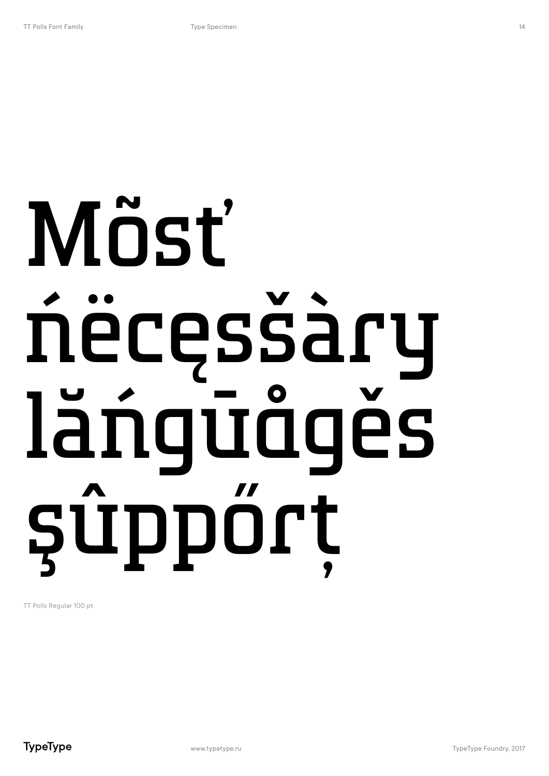# Mõsť ńëcęsšàry lăńgūågěs şûppőrţ

TT Polls Regular 100 pt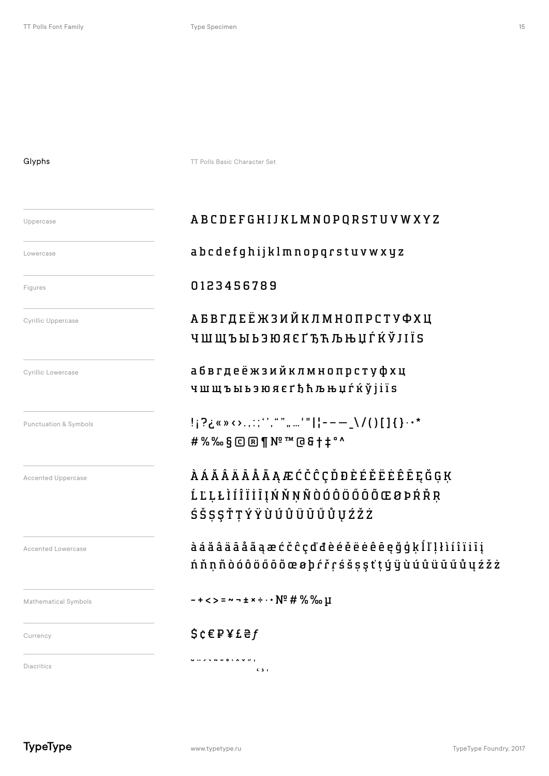### Glyphs

Uppercase

TT Polls Basic Character Set

### ABCDEFGHIJ K LMNOP QRSTUVW X Y Z

### Lowercase abcdefghijklmnopqrstuvwxyz

Figures **0123456789** 

Cyrillic Uppercase *АБВГДЕЁ***ЖЗИЙКЛМНОПРСТУФХЦ** ЧШЩЪЫЬЭЮЯЄҐЂЋЉЊЏЃЌЎЈІЇЅ

Cyrillic Lowercase *абвгдеёжзийклмнопрстуфхц* чшщъыьэюя єґђћљњџѓќўјіїѕ

Punctuation & Symbols **!¡?¿«»‹›.,:;'',"", ...'"||---\_\/()[]{}·•\*** #%‰§©®¶№™@&†‡° ^

Accented Uppercase ÀÁĂÂÄĀÅÃĄÆĆČĈÇĎĐÈÉĚËĖÊĒĘĞĢĶ ĹĽĻŁÌÍÎÏİĪĮŃŇŅÑÒÓÔÖŐŌÕŒØÞŔŘŖ ŚŠȘȘŤŢÝŸÙÚŨŨŨŰŮŲŹŽŻ

> àáăâäāåãąæćčĉçďđèéěëėêēęğģķĺľļłìíîïiīį ńňņñòóôöőōõœøþŕřŗśšșşťţýÿùúû ü ū ű ů ų ź ž ż

Mathematical Symbols  $\blacksquare$  + <>  $\blacksquare$   $\blacksquare$  + <>  $\blacksquare$  +  $\blacksquare$   $\blacksquare$  +  $\blacksquare$  +  $\blacksquare$  +  $\blacksquare$  +  $\blacksquare$  +  $\blacksquare$  +  $\blacksquare$  +  $\blacksquare$  +  $\blacksquare$  +  $\blacksquare$  +  $\blacksquare$  +  $\blacksquare$  +  $\blacksquare$  +  $\blacksquare$  +  $\blacksquare$  +  $\blacksquare$  +  $\blacksquare$  +

### $\mathsf{C}$ urrency  $\mathsf{S} \in \mathsf{P} \times \mathsf{E} \oplus \mathsf{P}$

المحمد المحمد المحمد المحمد المحمد المحمد المحمد المحمد المحمد المحمد المحمد المحمد المحمد المحمد المحمد المحم<br>والمحمد المحمد المحمد المحمد المحمد المحمد المحمد المحمد المحمد المحمد المحمد المحمد المحمد المحمد المحمد المح

Accented Lowercase

**TypeType**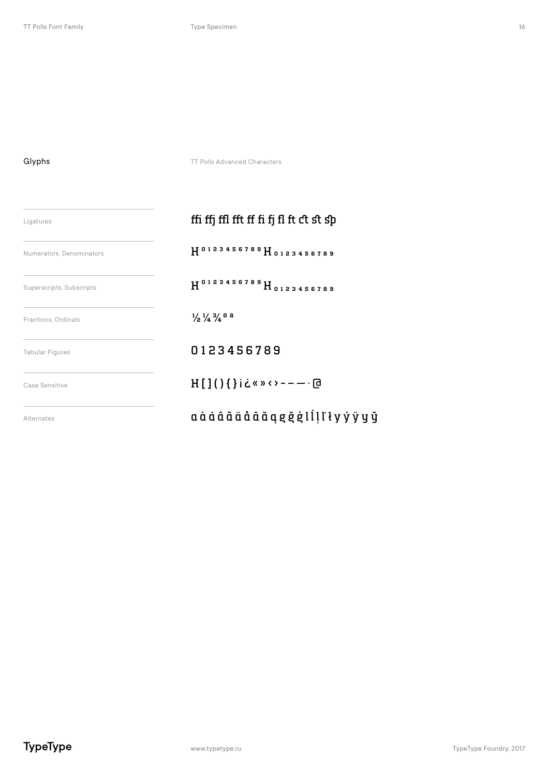TT Polls Advanced Characters

| Ligatures                | ffi ffj ffl fft ff fi fj fl ft ct st sp         |  |
|--------------------------|-------------------------------------------------|--|
| Numerators, Denominators | H0123456789 H0123456789                         |  |
| Superscripts, Subscripts | H <sup>0123456789</sup> H <sub>0123456789</sub> |  |
| Fractions, Ordinals      | $\frac{1}{2}$ $\frac{1}{4}$ $\frac{3}{4}$ 0 a   |  |
| <b>Tabular Figures</b>   | 0123456789                                      |  |
| Case Sensitive           | $H[]()$ {}i¿«»<>----- @                         |  |
| Alternates               | a à á â ã ä å ā ă ą g ğ ģ l ĺ l ľ ł y ý ÿ y ÿ   |  |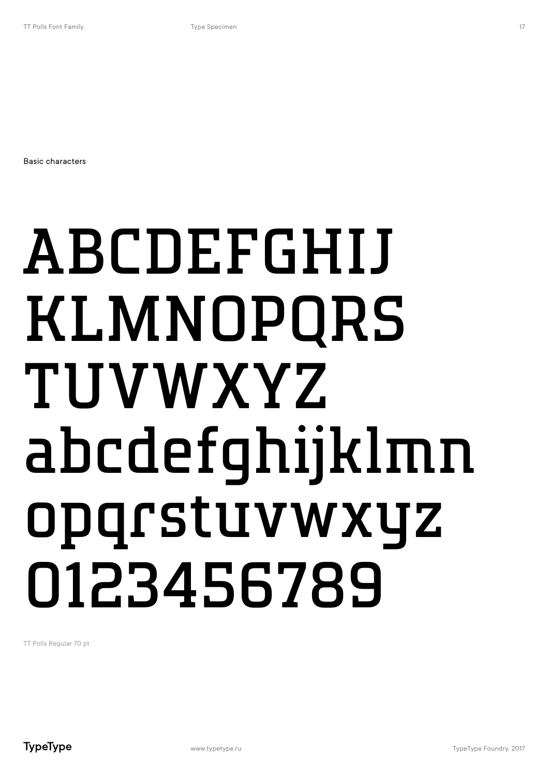Basic characters

# ABCDEFGHIJ KLMNOPQRS TUVWXYZ abcdefghijklmn opqrstuvwxyz 0123456789

TT Polls Regular 70 pt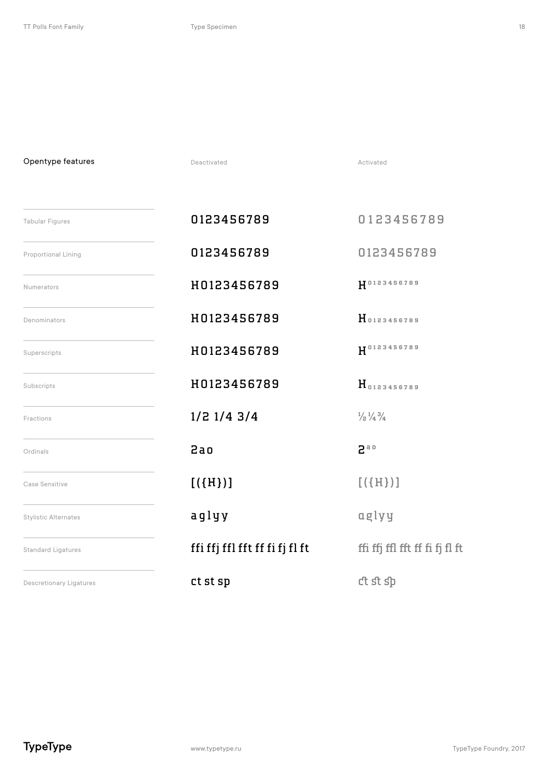Opentype features

| <b>Tabular Figures</b>         | 0123456789                     | 0123456789                                |
|--------------------------------|--------------------------------|-------------------------------------------|
| Proportional Lining            | 0123456789                     | 0123456789                                |
| Numerators                     | H0123456789                    | H0123456789                               |
| Denominators                   | H0123456789                    | H0123456789                               |
| Superscripts                   | H0123456789                    | $H^{0123456789}$                          |
| Subscripts                     | H0123456789                    | H0123456789                               |
| Fractions                      | $1/2$ $1/4$ $3/4$              | $\frac{1}{2}$ $\frac{1}{4}$ $\frac{3}{4}$ |
| Ordinals                       | $2a$ o                         | 2a0                                       |
| Case Sensitive                 | [(H)]                          | [(H)]                                     |
| <b>Stylistic Alternates</b>    | aglyy                          | aglyy                                     |
| <b>Standard Ligatures</b>      | ffi ffj ffl fft ff fi fj fl ft | ffi ffj ffl fft ff fi fj fl ft            |
| <b>Descretionary Ligatures</b> | ct st sp                       | ct st sp                                  |

Deactivated **Activated** Activated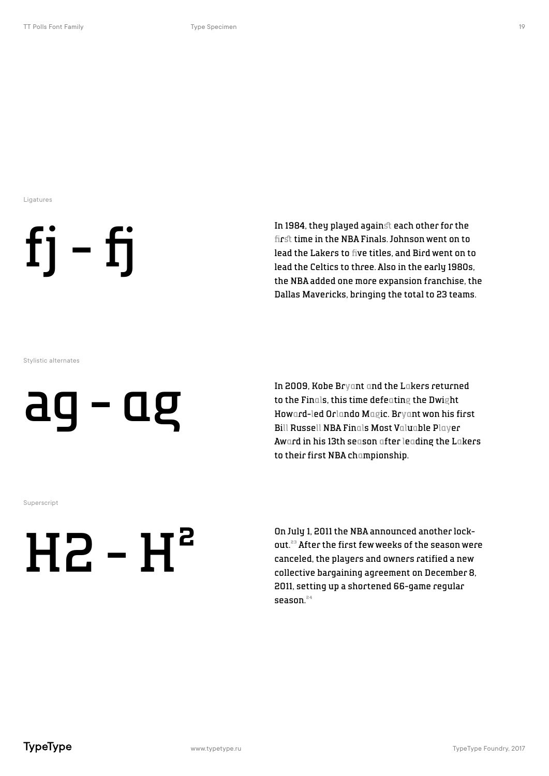Ligatures



In 1984, they played against each other for the firå time in the NBA Finals. Johnson went on to lead the Lakers to five titles, and Bird went on to lead the Celtics to three. Also in the early 1980s, the NBA added one more expansion franchise, the Dallas Mavericks, bringing the total to 23 teams.

Stylistic alternates

### ag - ag

In 2009, Kobe Bryant and the Lakers returned to the Finals, this time defeating the Dwight Howard-led Orlando Magic. Bryant won his first Bill Russell NBA Finals Most Valuable Player Award in his 13th season after leading the Lakers to their first NBA championship.

Superscript

## $HZ-H<sup>2</sup>$

On July 1, 2011 the NBA announced another lockout.<sup>23</sup> After the first few weeks of the season were canceled, the players and owners ratified a new collective bargaining agreement on December 8, 2011, setting up a shortened 66-game regular season.<sup>24</sup>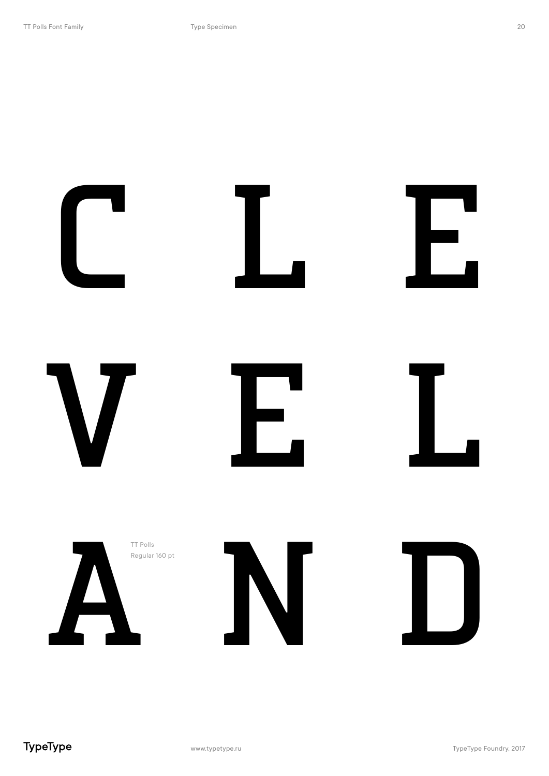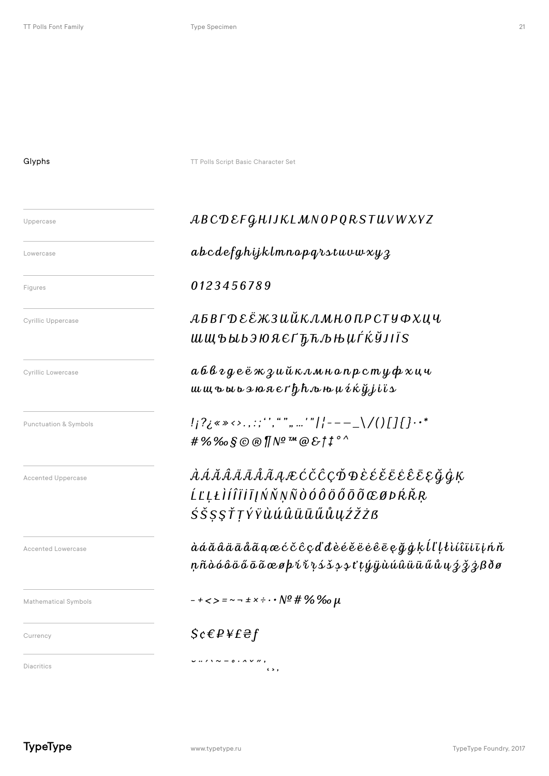**Glyphs** TT Polls Script Basic Character Set

### Uppercase ABCDEFGHIJKLMNOPQRSTUVWXYZ

### Lowercase **abcdefghijklmnopqrstuvwxyz**

### Figures **0123456789**

### $\mathcal{L}_{\text{Cyrillic Uppercase}}$   $\mathcal{A} \mathbf{B} \mathbf{B} \mathbf{\Gamma} \mathbf{D} \mathbf{\mathcal{E}} \mathbf{\mathcal{E}} \mathbf{\mathcal{K}} 3 \mathbf{U} \mathbf{\mathcal{U}} \mathbf{\mathcal{K}} \mathbf{\mathcal{M}} \mathbf{H} \mathbf{0} \mathbf{D} \mathbf{P} \mathbf{C} \mathbf{T} \mathbf{Y} \mathbf{\Phi} \mathbf{\mathcal{X}} \mathbf{U} \mathbf{U}$ ШЩЪЫЬЭЮЯ ЄҐЂЋЉЊЏЃЌЎЈІЇЅ

Cyrillic Lowercase  $a \, b \, \theta \, \nu \, g \, e \, \ddot{e} \, \kappa \, \gamma \, \mu \, \ddot{\mu} \, \kappa \, \lambda \, m \, \mu \, \alpha \, n \, p \, c \, m \, \psi \, \boldsymbol{\phi} \, \boldsymbol{\chi} \, \boldsymbol{\mu} \, \boldsymbol{u}$ шщъ ы ьэю я єґђћљњџѓќўјіїѕ

Punctuation & Symbols  ${!}_i?$ ¿«» <>.,:;''',"", ...'" ${!}_i$  - –  $\_ \setminus$  /()[] {  $}$ ..\* #%‰§©®¶№™@&†‡° ^

Accented Uppercase À Á Ă Â Ä Ā Å Ã Ą ÆĆČĈÇĎĐÈÉĚËĖÊĒĘĞĢĶ ĹĽĻŁÌÍÎÏİĪĮŃŇŅÑÒÓÔÖŐŌÕŒØÞŔŘŖ ŚŠȘȘŤŢÝŸÙÚÛÜŪŰŮŲŹŽŻB

> àáăâäāåãąæćčĉçďđèé ěëėêēęğģķĺľļłìíîï i īįńň ņ ñòóôö ő ō õœ øþŕ ř ŗ ś š ș ş ťţ ýÿùúûü ū ű ů ų ź ž ż ßðø

Mathematical Symbols  $-+<\,>=\,\sim$   $\pm x\div\cdot\cdot$   $\sqrt{2}\,\#$  % %  $\mu$ 

### $\mathcal{S}c \in P \times E \oplus f$

Diacritics ˘¨´`˜¯˚˙ˆˇ˝'˛¸

Accented Lowercase

**TypeType**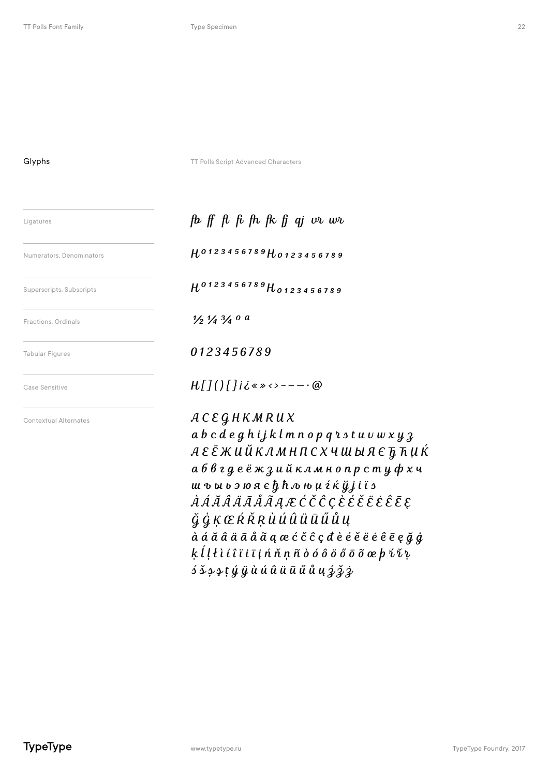Glyphs TT Polls Script Advanced Characters

| Ligatures                    | fb ff fl fi fh fk fj qj $\cup v$ wh                                                                                                                                                                                                                                                                                                                                                                                                                                                                                                                                                                        |  |
|------------------------------|------------------------------------------------------------------------------------------------------------------------------------------------------------------------------------------------------------------------------------------------------------------------------------------------------------------------------------------------------------------------------------------------------------------------------------------------------------------------------------------------------------------------------------------------------------------------------------------------------------|--|
| Numerators, Denominators     | H0123456789H0123456789                                                                                                                                                                                                                                                                                                                                                                                                                                                                                                                                                                                     |  |
| Superscripts, Subscripts     | $H^{0123456789}$ $H_{0123456789}$                                                                                                                                                                                                                                                                                                                                                                                                                                                                                                                                                                          |  |
| Fractions, Ordinals          | $\frac{1}{2} \frac{1}{4} \frac{3}{4}$ o a                                                                                                                                                                                                                                                                                                                                                                                                                                                                                                                                                                  |  |
| <b>Tabular Figures</b>       | 0123456789                                                                                                                                                                                                                                                                                                                                                                                                                                                                                                                                                                                                 |  |
| Case Sensitive               | $H[]()$ []iis * * * - - - - @                                                                                                                                                                                                                                                                                                                                                                                                                                                                                                                                                                              |  |
| <b>Contextual Alternates</b> | $ACE\mathcal GHKMRUX$<br>a b c d e g h i j k l m n o p q r s t u v w x y 3<br>а 6 в г д е ё ж з и й к л м н о п р с т у ф х ч<br>ш ъ ы ь э ю я є $\hbar$ $\hbar$ љ њ µ $i$ ќ ў j i ï s<br><i>À Á Ã Â Ä Ã Ã Ã Ą Æ Ć Č Ĉ Ç È É Ë Ë Ë Ë Ē Ę</i><br>ĞĠĶŒŔŘŖÙÚÛÜŪŰŮŲ<br>$\dot{a}$ á $\tilde{a}$ $\tilde{a}$ $\tilde{a}$ $\tilde{a}$ $\tilde{a}$ $q$ $\alpha$ $\acute{c}$ $\hat{c}$ $\varsigma$ $d$ $\grave{e}$ $\acute{e}$ $\acute{e}$ $\overset{.}{e}$ $\overset{.}{e}$ $\overset{.}{e}$ $\overset{.}{e}$ $\overset{.}{e}$ $\overset{.}{e}$ $\overset{.}{e}$ $\overset{.}{e}$ $\overset{.}{e}$ $\overset{.}{e$ |  |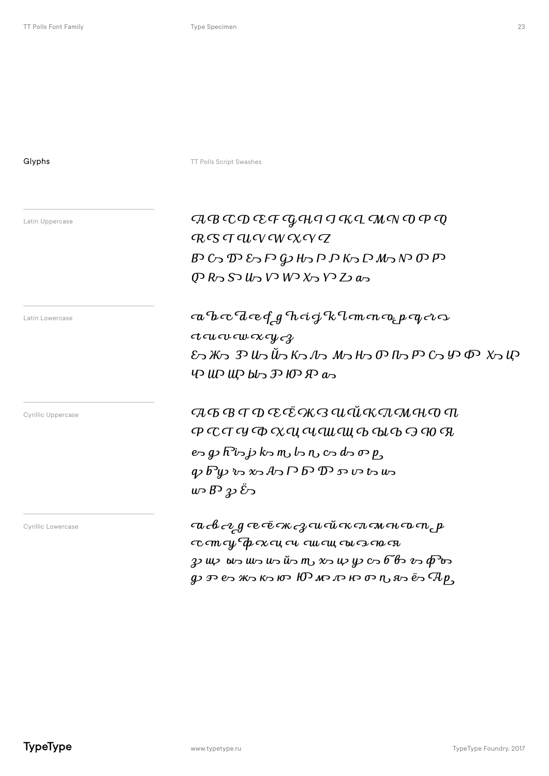Glyphs **Glyphs** TT Polls Script Swashes

Latin Uppercase

 ${\cal T\!A} {\cal B} {\cal C\!C\!D} {\cal C\!C\!F} {\cal C\!Q\!C\!H} {\cal P} {\cal G} {\cal G} {\cal K\!C\!L} {\cal C\!M\!C\!N} {\cal O} {\cal P} {\cal Q}$  $R$   $S$   $T$   $U$   $V$   $W$   $X$   $V$   $Z$  $B$  C  $\sup$   $\mathcal{D}$   $\mathcal{D}$   $\mathcal{D}$   $\mathcal{D}$   $\mathcal{D}$   $\mathcal{D}$   $\mathcal{D}$   $\mathcal{D}$   $\mathcal{D}$   $\mathcal{D}$   $\mathcal{D}$   $\mathcal{D}$   $\mathcal{D}$  $\overline{Q}$  R  $\overline{S}$  U  $\overline{Q}$  V W  $\chi$   $\overline{Q}$  V  $\overline{Q}$  as

a b c d e f g h ci g k l m m a p q c c  $ct$ *u*  $ct$ *w*  $cx$   $y$   $c$ *x*  $E$  א ה $\chi$   $\Phi$  כי כי כי הוא סי הוא הוא הוא הוא הוא הוא היו $\mu$  הוא ה  $\psi$  UP UP by  $\mathcal{F}$  OD  $\mathcal{F}$  as

 $\mathcal{L}_{\text{Cyrillic Uppercase}}$   $\mathcal{L}_{\text{DTP} \text{ercase}}$   $\mathcal{L}_{\text{D}}$   $\mathcal{L}_{\text{D}}$   $\mathcal{L}_{\text{D}}$   $\mathcal{L}_{\text{D}}$   $\mathcal{L}_{\text{D}}$   $\mathcal{L}_{\text{D}}$   $\mathcal{L}_{\text{D}}$   $\mathcal{L}_{\text{D}}$   $\mathcal{L}_{\text{D}}$   $\mathcal{L}_{\text{D}}$   $\mathcal{L}_{\text{D}}$   $\mathcal{L}_{\text{D}}$   $\mathcal{L}_{\text{D$ Р С Т У Ф Х Ц Ч Ш Щ Ъ Ы Ь Э Ю Я  $e$  g  $\overline{R}$  is j  $k$   $\overline{C}$  m  $c$   $\overline{C}$  o  $d$   $\overline{C}$  o  $p$ q b y r x А Г Б Д s v t u  $\psi$  B  $\psi$   $\ddot{\mathcal{E}}$   $\sim$ 

 $\mathbb{C}_{\mathrm{V}}$ rillic Lowercase  $a \in \mathbb{C}$  or  $a \in \mathbb{C}$  and  $\mathbb{C}$   $a \in \mathbb{C}$   $\mathbb{C}$   $\mathbb{C}$   $\mathbb{C}$   $\mathbb{C}$   $\mathbb{C}$   $\mathbb{C}$   $\mathbb{C}$   $\mathbb{C}$   $\mathbb{C}$   $\mathbb{C}$   $\mathbb{C}$   $\mathbb{C}$   $\mathbb{C}$   $\mathbb{C}$   $\mathbb{C}$   $\mathbb$  $\tau$  ст с $\psi$   $\tau$  ок с $u$  си си си си си ся  $3$  up and we us in the my  $x$  th  $y$  c  $6$  from  $\phi$  to  $\phi$  $q$ ביש ביוזי ט רום כזו כזו ביוזי הוא כוא ביאז ביש כדע כ $\mathcal{A}p$ 

Latin Lowercase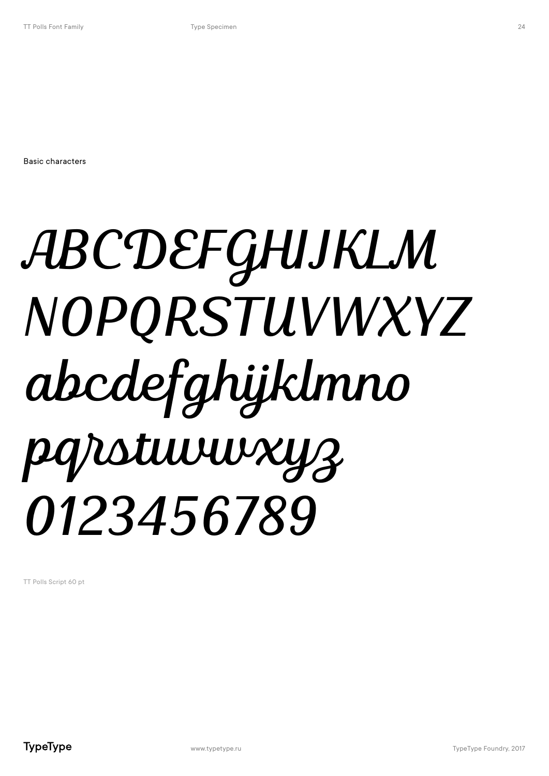Basic characters

# ABCDEFGHIJKLM NOPQRSTUVWXYZ abcdefghijklmno pqrstuvwxyz 0123456789

TT Polls Script 60 pt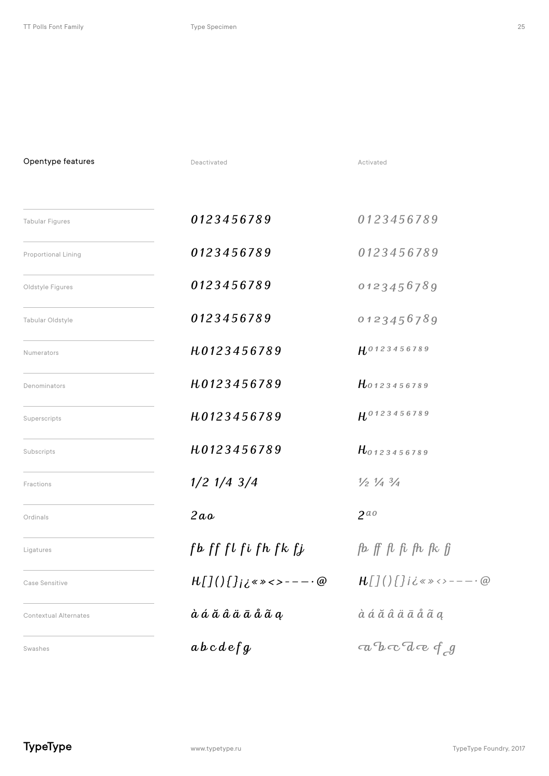Opentype features

| <b>Tabular Figures</b>       | 0123456789                                                                                                                                                                                                                                                              | 0123456789                                                                                  |
|------------------------------|-------------------------------------------------------------------------------------------------------------------------------------------------------------------------------------------------------------------------------------------------------------------------|---------------------------------------------------------------------------------------------|
| <b>Proportional Lining</b>   | 0123456789                                                                                                                                                                                                                                                              | 0123456789                                                                                  |
| Oldstyle Figures             | 0123456789                                                                                                                                                                                                                                                              | 0123456789                                                                                  |
| Tabular Oldstyle             | 0123456789                                                                                                                                                                                                                                                              | 0123456789                                                                                  |
| Numerators                   | H0123456789                                                                                                                                                                                                                                                             | H0123456789                                                                                 |
| Denominators                 | H0123456789                                                                                                                                                                                                                                                             | H0123456789                                                                                 |
| Superscripts                 | H0123456789                                                                                                                                                                                                                                                             | HO123456789                                                                                 |
| Subscripts                   | H0123456789                                                                                                                                                                                                                                                             | $H_{0123456789}$                                                                            |
| Fractions                    | $1/2$ $1/4$ $3/4$                                                                                                                                                                                                                                                       | $\frac{1}{2}$ $\frac{1}{4}$ $\frac{3}{4}$                                                   |
| Ordinals                     | 2aa                                                                                                                                                                                                                                                                     | $2^{a}$                                                                                     |
| Ligatures                    | $\int$ form $\int$ form $\int$ form $\int$ form $\int$ form $\int$ form $\int$ form $\int$ form $\int$ form $\int$ form $\int$ form $\int$ form $\int$ form $\int$ form $\int$ form $\int$ form $\int$ form $\int$ form $\int$ form $\int$ form $\int$ form $\int$ form | $\beta$ $\beta$ $\beta$ $\beta$ $\beta$ $\beta$ $\beta$ $\beta$                             |
| Case Sensitive               | $H[J()$ []iis ><>-----@                                                                                                                                                                                                                                                 | $H[7()$       i i s $\gg$ < > - - - - - @                                                   |
| <b>Contextual Alternates</b> | à á ă â ä ā å ã a                                                                                                                                                                                                                                                       | $\dot{a}$ $\acute{a}$ $\ddot{a}$ $\ddot{a}$ $\ddot{a}$ $\ddot{a}$ $\ddot{a}$ $\ddot{a}$ $a$ |
| Swashes                      | $abcde\{g$                                                                                                                                                                                                                                                              | $ab\in \mathcal{A}$ and $\mathcal{A}$                                                       |

Deactivated **Activated** Activated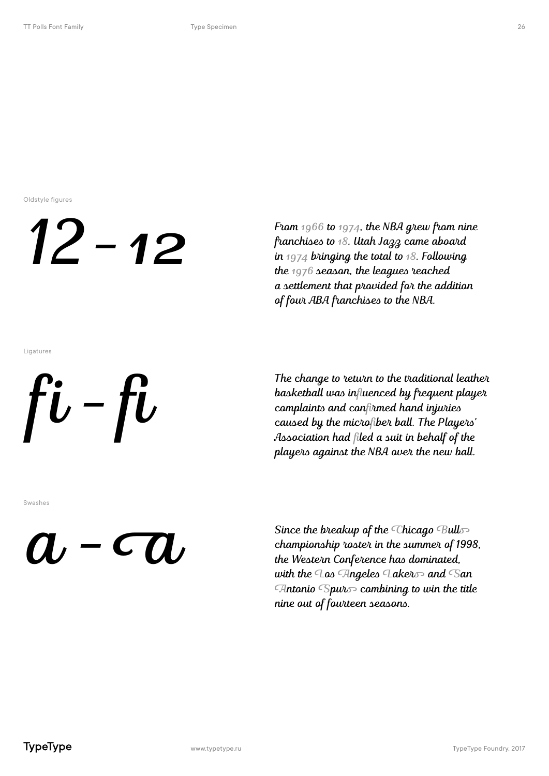Oldstyle figures

### 12 – 12

From  $1966$  to  $1974$ , the NBA grew from nine franchises to 18. Utah Jazz came aboard in  $1974$  bringing the total to  $18$ . Following the  $1976$  season, the leagues reached a settlement that provided for the addition of four ABA franchises to the NBA.

Ligatures



The change to return to the traditional leather basketball was influenced by frequent player complaints and confirmed hand injuries caused by the microfiber ball. The Players' Association had filed a suit in behalf of the players against the NBA over the new ball.

Swashes

### $a$  -  $a$

Since the breakup of the Chicago Bulls championship roster in the summer of 1998, the Western Conference has dominated, with the Los Angeles Lakers and San Antonio Spurs combining to win the title nine out of fourteen seasons.